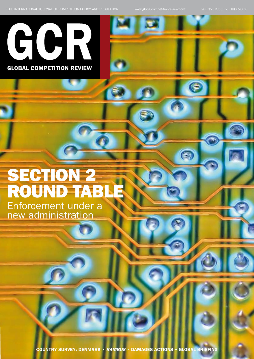Œ



**GLOBAL COMPETITION REVIEW** 

# **SECTION 2 ROUND TAB** Enforcement under a

new administration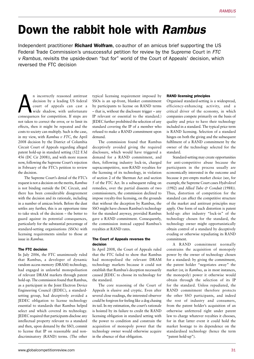# Down the rabbit hole with *Rambus*

Independent practitioner **Richard Wolfram**, co-author of an amicus brief supporting the US Federal Trade Commission's unsuccessful petition for review by the Supreme Court in *FTC v Rambus*, revisits the upside-down "but for" world of the Court of Appeals' decision, which reversed the FTC decision

**A** incorrectly reasoned antitrust<br>
decision by a leading US federal<br>
court of appeals can cast a<br>
wide shadow, with unfortunate<br>
consequences for competition. If steps are decision by a leading US federal court of appeals can cast a wide shadow, with unfortunate not taken to correct the error, or to limit its effects, then it might be repeated and the costs to society can multiply. Such is the case, in my view, with *Rambus v FTC*, the April 2008 decision by the District of Columbia Circuit Court of Appeals regarding alleged patent hold-up in standard setting (522 F.3d 456 (DC Cir 2008)), and with more reason now, following the Supreme Court's rejection in February of the FTC's petition to review the decision.

The Supreme Court's denial of the FTC's request is not a decision on the merits, *Rambus* is not binding outside the DC Circuit, and there has been considerable disagreement with the decision and its rationale, including in a number of amicus briefs. Before the dust settles any further, this is an opportune time to take stock of the decision – the better to guard against its potential consequences, particularly for the substantial percentage of standard-setting organisations (SSOs) with licensing requirements similar to those at issue in *Rambus*.

# The FTC decision

In July 2006, the FTC unanimously ruled that Rambus, a developer of dynamic random access memory (DRAM) technology, had engaged in unlawful monopolisation of relevant DRAM markets through patent hold-up. The commission found that Rambus, as a participant in the Joint Electron Device Engineering Council (JEDEC), a standardsetting group, had deceptively avoided a JEDEC obligation to license technology essential to standards that Rambus helped select and which covered its technology. JEDEC required that participants disclose any intellectual property relevant to a standard and then, upon demand by the SSO, commit to license that IP on reasonable and nondiscriminatory (RAND) terms. (The other

typical licensing requirement imposed by SSOs is an up-front, blanket commitment by participants to license on RAND terms – that is, without the disclosure trigger – any IP relevant or essential to the standard.) JEDEC further prohibited the selection of any standard covering the IP of a member who refused to make a RAND commitment upon demand.

The commission found that Rambus deceptively avoided giving the required disclosure, which would have triggered a demand for a RAND commitment, and then, following industry lock-in, charged supracompetitive, non-RAND royalties for the licensing of its technology, in violation of section 2 of the Sherman Act and section 5 of the FTC Act. In a subsequent ruling on remedies, over the partial dissents of two commissioners, the commission declined to impose royalty-free licensing, on the grounds that without the deception by Rambus, the SSO might have chosen Rambus's technology for the standard anyway, provided Rambus gave a RAND commitment. Consequently, the commission instead capped Rambus's royalties at RAND rates.

#### The Court of Appeals reverses the decision

In April 2008, the Court of Appeals ruled that the FTC failed to show that Rambus had monopolised the relevant DRAM technology markets because it could not establish that Rambus's deception necessarily caused JEDEC to choose its technology for the standard.

The core reasoning of the Court of Appeals is elusive and cryptic. Even after several close readings, the interested observer could be forgiven for feeling like a dog chasing its tail. In my estimation, the court's rationale is hoisted by its failure to credit the RAND licensing obligation in standard setting with the power to condition and constrain the acquisition of monopoly power that the technology owner would otherwise acquire in the absence of that obligation.

#### RAND licensing principles

Organised standard-setting is a widespread, efficiency-enhancing activity, and a critical driver of the economy, in which companies compete primarily on the basis of quality and price to have their technology included in a standard. The typical price term is RAND licensing. Selection of a standard hinges on both the giving and the subsequent fulfilment of a RAND commitment by the owner of the technology selected for the standard.

Standard-setting may create opportunities for anti-competitive abuse because the participants in the process usually are economically interested in the outcome and because it pre-empts market choice (see, for example, the Supreme Court cases *Hydrolevel* (1982) and *Allied Tube & Conduit* (1988)). Thus, distortion of competition for the standard can affect the competitive structure of the market and antitrust principles may apply. One form of such distortion is patent hold-up: after industry "lock-in" of the technology chosen for the standard, the technology owner might opportunistically obtain control of a standard by deceptively evading or otherwise repudiating its RAND commitment.

A RAND commitment normally constrains the acquisition of monopoly power by the owner of technology chosen for a standard: by giving the commitment, the patent holder "negotiates away" the market (or, in *Rambus*, as in most instances, the monopoly) power it otherwise would obtain through the selection of its IP for the standard. Unless repudiated, the RAND commitment therefore protects the other SSO participants, and indeed the rest of industry and consumers, from the patent holder's acquisition of an otherwise unfettered right under patent law to charge whatever royalties it chooses, for in that latter event it could hold the market hostage to its dependence on the standardised technology (hence the term "patent hold-up").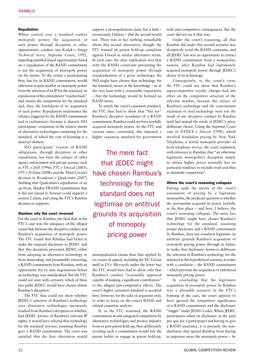### Repudiation

Where control over a standard confers monopoly power, the acquisition of such power through deception or other opportunistic conduct (see *Kodak v Image Technical Servs*, Supreme Court, 1992, regarding installed-based opportunism) based on a repudiation of the RAND commitment is not the acquisition of monopoly power on the merits. To the extent a participating firm, but for its RAND commitment, would otherwise acquire market or monopoly power from the selection of its IP for the standard, its repudiation of the commitment "reaches back" and vitiates the competition for the standard and, thus, the lawfulness of its acquisition of such power. Repudiation undermines the reliance triggered by the RAND commitment and is exclusionary because it distorts SSO participants' evaluation of the relative merits of alternative technologies competing for the standard, of which the cost of licensing is a material element.

SSO participants' evasion of RAND obligations, through deception or other repudiation, has been the subject of other agency enforcement and private actions, such as *FTC v Dell* (1996); *FTC v Unocal* (2005); *FTC v N-Data* (2008); and the Third Circuit's decision in *Broadcom v Qualcomm* (2007) (holding that Qualcomm's repudiation of an up-front, blanket FRAND commitment that it did not intend to honour could support a section 2 claim, and citing the FTC's *Rambus* decision in support).

## *Rambus*: why the court reversed

For the court in *Rambus*, the fatal flaw in the FTC's case was the adequacy of the alleged causal link between the deceptive conduct and Rambus's acquisition of monopoly power. The FTC found that Rambus had failed to make the required disclosure to JEDEC and that this deception prevented JEDEC either from adopting an alternative technology or from demanding, and presumably extracting, a RAND commitment from Rambus, with an opportunity for ex ante negotiations before its technology was standardised. But the FTC could not state with certainty which of these two paths JEDEC would have chosen absent Rambus's deception.

The FTC thus could not show whether JEDEC's selection of Rambus's technology over alternative technologies necessarily resulted from Rambus's deception or whether, had JEDEC known of Rambus's relevant IP rights, it would have selected that technology for the standard anyway, assuming Rambus gave a RAND commitment. The court was satisfied that the first alternative would support a monopolisation claim but it held – erroneously, I believe – that the second would not. There was in fact nothing remarkable about this second alternative, though: the FTC framed its patent hold-up complaint against Unocal in similar alternative terms. In each case, the clear implication was that with the RAND constraint preventing the acquisition of monopoly power through standardisation of a given technology, the SSO might have chosen that technology for the standard, secure in the knowledge – or at the very least with a reasonable expectation – that the technology would be licensed on RAND terms.

To satisfy the court's causation standard, the FTC thus had to show that "but for" Rambus's deceptive avoidance of a RAND commitment, Rambus could not have lawfully acquired monopoly power. As the FTC and various amici contended, this imposed a higher causation standard for government

The mere fact that JEDEC might have chosen Rambus's technology for the standard does not legitimise on antitrust grounds its acquisition of monopoly pricing power

monopolisation claims than that applied by six courts of appeal, including the DC Circuit itself in *US v Microsoft*; under the lower bar, the FTC would have had to show only that Rambus's conduct "reasonably appeared capable of making a significant contribution" to the alleged anti-competitive effects. The court's higher causation standard is accepted here, however, for the sake of argument only, in order to focus on the court's RAND and related causation analysis.

If, as the FTC reasoned, the RAND commitment would safeguard competition by alternative technologies and protect industry from ex post patent hold-up, then deliberately avoiding such a commitment would free the patent holder to engage in patent hold-up, with anti-competitive consequences. But the court did not see it that way.

Under the court's reasoning, all that Rambus did under this second scenario was deceptively avoid the RAND constraint, and all JEDEC lost was an opportunity to extract a RAND commitment from a monopolist, namely, after Rambus had legitimately acquired monopoly power through JEDEC's choice of its technology.

Consequently, in the court's view, the FTC could not show that Rambus's supracompetitive royalty charges had any effect on the competitive structure of the relevant market, because the choice of Rambus's technology and the concomitant exclusion of rival technology were not the result of any deceptive conduct by Rambus itself but instead the result of JEDEC's prior, deliberate choice. Citing the Supreme Court case of *NYNEX v Discon* (1998), which involved fraudulent pricing by New York Telephone, a lawful monopoly provider of local telephone service, the court explained, with reference to *Rambus*, that "an otherwise legitimate monopolist's deception simply to obtain higher prices normally has no particular tendency to exclude rivals and thus to diminish competition".

#### Where the court's reasoning collapses

Putting aside the merits of the court's assessment of pricing by a legitimate monopolist, the predicate question is whether the monopolist acquired its power lawfully in the first place – and here, I believe, the court's reasoning collapses. The mere fact that JEDEC might have chosen Rambus's technology for the standard, assuming proper disclosure and a RAND commitment by Rambus, does not somehow legitimise on antitrust grounds Rambus's acquisition of monopoly pricing power through its failure to make that disclosure: however deliberate the selection of Rambus's technology for the standard in this hypothetical scenario, it comes with a condition – the RAND commitment – which prevents the acquisition of unfettered monopoly pricing power.

In concluding that the legitimate acquisition of monopoly power by Rambus was a plausible scenario in the FTC's framing of the case, the court appears to have ignored the competitive significance of a RAND commitment and the disclosure "trigger" under JEDEC's rules. Where JEDEC participants relied on disclosure as the quid pro quo for a participant's not having to give a RAND assurance, it is precisely the nondisclosure that spared Rambus from having to negotiate away the monopoly power – by